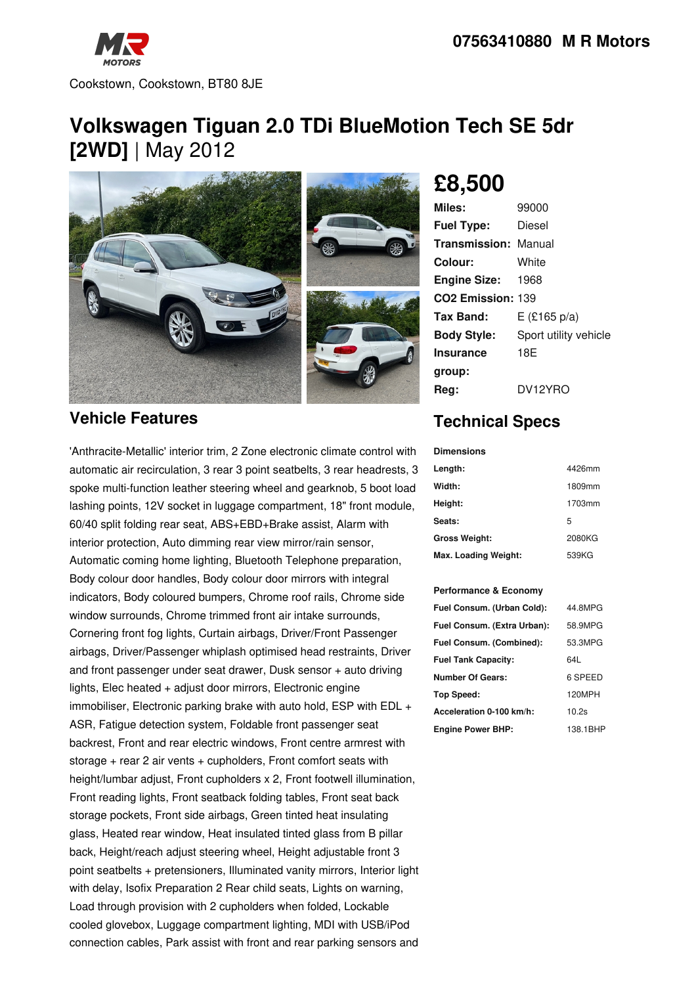

# **Volkswagen Tiguan 2.0 TDi BlueMotion Tech SE 5dr [2WD]** | May 2012



### **Vehicle Features**

'Anthracite-Metallic' interior trim, 2 Zone electronic climate control with automatic air recirculation, 3 rear 3 point seatbelts, 3 rear headrests, 3 spoke multi-function leather steering wheel and gearknob, 5 boot load lashing points, 12V socket in luggage compartment, 18" front module, 60/40 split folding rear seat, ABS+EBD+Brake assist, Alarm with interior protection, Auto dimming rear view mirror/rain sensor, Automatic coming home lighting, Bluetooth Telephone preparation, Body colour door handles, Body colour door mirrors with integral indicators, Body coloured bumpers, Chrome roof rails, Chrome side window surrounds, Chrome trimmed front air intake surrounds, Cornering front fog lights, Curtain airbags, Driver/Front Passenger airbags, Driver/Passenger whiplash optimised head restraints, Driver and front passenger under seat drawer, Dusk sensor + auto driving lights, Elec heated + adjust door mirrors, Electronic engine immobiliser, Electronic parking brake with auto hold, ESP with EDL + ASR, Fatigue detection system, Foldable front passenger seat backrest, Front and rear electric windows, Front centre armrest with storage + rear 2 air vents + cupholders, Front comfort seats with height/lumbar adjust, Front cupholders x 2, Front footwell illumination, Front reading lights, Front seatback folding tables, Front seat back storage pockets, Front side airbags, Green tinted heat insulating glass, Heated rear window, Heat insulated tinted glass from B pillar back, Height/reach adjust steering wheel, Height adjustable front 3 point seatbelts + pretensioners, Illuminated vanity mirrors, Interior light with delay, Isofix Preparation 2 Rear child seats, Lights on warning, Load through provision with 2 cupholders when folded, Lockable cooled glovebox, Luggage compartment lighting, MDI with USB/iPod connection cables, Park assist with front and rear parking sensors and

# **£8,500**

| 99000                         |
|-------------------------------|
| Diesel                        |
| <b>Transmission: Manual</b>   |
| White                         |
| <b>Engine Size: 1968</b>      |
| CO <sub>2</sub> Emission: 139 |
| $E$ (£165 p/a)                |
| Sport utility vehicle         |
| 18E                           |
|                               |
| DV12YRO                       |
|                               |

## **Technical Specs**

**Dimensions**

| Length:              | 4426mm |
|----------------------|--------|
| Width:               | 1809mm |
| Height:              | 1703mm |
| Seats:               | 5      |
| <b>Gross Weight:</b> | 2080KG |
| Max. Loading Weight: | 539KG  |

#### **Performance & Economy**

| Fuel Consum. (Urban Cold):  | 44.8MPG  |
|-----------------------------|----------|
| Fuel Consum. (Extra Urban): | 58.9MPG  |
| Fuel Consum. (Combined):    | 53.3MPG  |
| <b>Fuel Tank Capacity:</b>  | 64L      |
| <b>Number Of Gears:</b>     | 6 SPEED  |
| Top Speed:                  | 120MPH   |
| Acceleration 0-100 km/h:    | 10.2s    |
| <b>Engine Power BHP:</b>    | 138.1BHP |